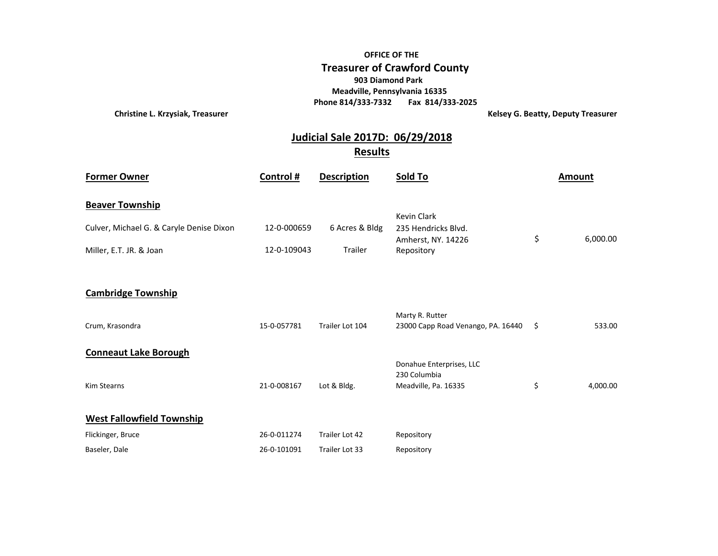## **OFFICE OF THE Treasurer of Crawford County 903 Diamond Park Meadville, Pennsylvania 16335 Phone 814/333-7332 Fax 814/333-2025**

**Christine L. Krzysiak, Treasurer Christian Exercise 2018 1999 12:33 Are September 2018 12:33 Are September 2019** 

## **Results Judicial Sale 2017D: 06/29/2018**

| <b>Former Owner</b>                      | Control #   | <b>Description</b> | Sold To                                                          | <b>Amount</b>  |
|------------------------------------------|-------------|--------------------|------------------------------------------------------------------|----------------|
| <b>Beaver Township</b>                   |             |                    |                                                                  |                |
| Culver, Michael G. & Caryle Denise Dixon | 12-0-000659 | 6 Acres & Bldg     | <b>Kevin Clark</b><br>235 Hendricks Blvd.                        | \$<br>6,000.00 |
| Miller, E.T. JR. & Joan                  | 12-0-109043 | Trailer            | Amherst, NY. 14226<br>Repository                                 |                |
|                                          |             |                    |                                                                  |                |
| <b>Cambridge Township</b>                |             |                    |                                                                  |                |
| Crum, Krasondra                          | 15-0-057781 | Trailer Lot 104    | Marty R. Rutter<br>23000 Capp Road Venango, PA. 16440            | \$<br>533.00   |
| <b>Conneaut Lake Borough</b>             |             |                    |                                                                  |                |
| <b>Kim Stearns</b>                       | 21-0-008167 | Lot & Bldg.        | Donahue Enterprises, LLC<br>230 Columbia<br>Meadville, Pa. 16335 | \$<br>4,000.00 |
| <b>West Fallowfield Township</b>         |             |                    |                                                                  |                |
| Flickinger, Bruce                        | 26-0-011274 | Trailer Lot 42     | Repository                                                       |                |
| Baseler, Dale                            | 26-0-101091 | Trailer Lot 33     | Repository                                                       |                |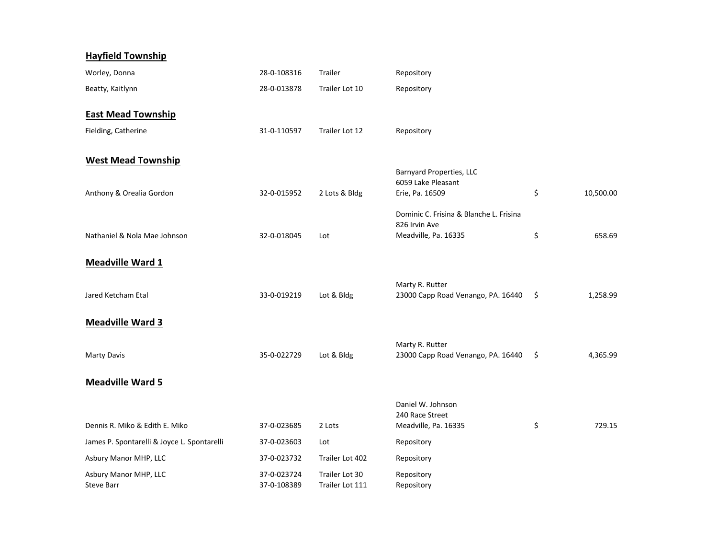| <b>Hayfield Township</b>                    |                            |                                   |                                                          |     |           |
|---------------------------------------------|----------------------------|-----------------------------------|----------------------------------------------------------|-----|-----------|
| Worley, Donna                               | 28-0-108316                | Trailer                           | Repository                                               |     |           |
| Beatty, Kaitlynn                            | 28-0-013878                | Trailer Lot 10                    | Repository                                               |     |           |
| <b>East Mead Township</b>                   |                            |                                   |                                                          |     |           |
| Fielding, Catherine                         | 31-0-110597                | Trailer Lot 12                    | Repository                                               |     |           |
| <b>West Mead Township</b>                   |                            |                                   |                                                          |     |           |
|                                             |                            |                                   | <b>Barnyard Properties, LLC</b><br>6059 Lake Pleasant    |     |           |
| Anthony & Orealia Gordon                    | 32-0-015952                | 2 Lots & Bldg                     | Erie, Pa. 16509                                          | \$  | 10,500.00 |
|                                             |                            |                                   | Dominic C. Frisina & Blanche L. Frisina<br>826 Irvin Ave |     |           |
| Nathaniel & Nola Mae Johnson                | 32-0-018045                | Lot                               | Meadville, Pa. 16335                                     | \$  | 658.69    |
| <b>Meadville Ward 1</b>                     |                            |                                   |                                                          |     |           |
| Jared Ketcham Etal                          | 33-0-019219                | Lot & Bldg                        | Marty R. Rutter<br>23000 Capp Road Venango, PA. 16440    | Ŝ.  | 1,258.99  |
| <b>Meadville Ward 3</b>                     |                            |                                   |                                                          |     |           |
| Marty Davis                                 | 35-0-022729                | Lot & Bldg                        | Marty R. Rutter<br>23000 Capp Road Venango, PA. 16440    | -\$ | 4,365.99  |
| <b>Meadville Ward 5</b>                     |                            |                                   |                                                          |     |           |
|                                             |                            |                                   | Daniel W. Johnson<br>240 Race Street                     |     |           |
| Dennis R. Miko & Edith E. Miko              | 37-0-023685                | 2 Lots                            | Meadville, Pa. 16335                                     | \$  | 729.15    |
| James P. Spontarelli & Joyce L. Spontarelli | 37-0-023603                | Lot                               | Repository                                               |     |           |
| Asbury Manor MHP, LLC                       | 37-0-023732                | Trailer Lot 402                   | Repository                                               |     |           |
| Asbury Manor MHP, LLC<br><b>Steve Barr</b>  | 37-0-023724<br>37-0-108389 | Trailer Lot 30<br>Trailer Lot 111 | Repository<br>Repository                                 |     |           |